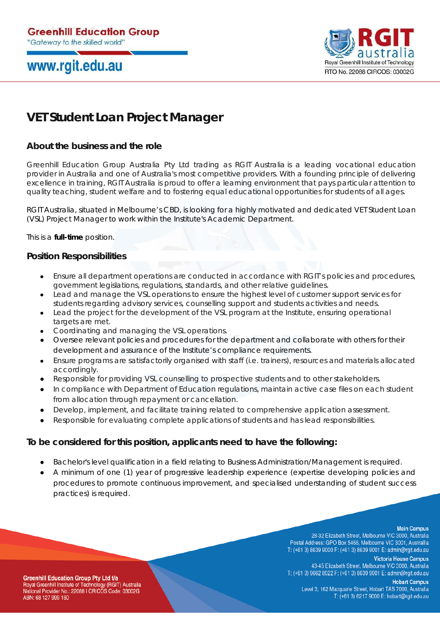# www.rgit.edu.au



### **VET Student Loan Project Manager**

### **About the business and the role**

Greenhill Education Group Australia Pty Ltd trading as RGIT Australia is a leading vocational education provider in Australia and one of Australia's most competitive providers. With a founding principle of delivering excellence in training, RGIT Australia is proud to offer a learning environment that pays particular attention to quality teaching, student welfare and to fostering equal educational opportunities for students of all ages.

RGIT Australia, situated in Melbourne's CBD, is looking for a highly motivated and dedicated VET Student Loan (VSL) Project Manager to work within the Institute's Academic Department.

This is a **full-time** position.

#### **Position Responsibilities**

- Ensure all department operations are conducted in accordance with RGIT's policies and procedures, government legislations, regulations, standards, and other relative guidelines.
- Lead and manage the VSL operations to ensure the highest level of customer support services for students regarding advisory services, counselling support and students activities and needs.
- Lead the project for the development of the VSL program at the Institute, ensuring operational targets are met.
- Coordinating and managing the VSL operations.
- Oversee relevant policies and procedures for the department and collaborate with others for their development and assurance of the Institute's compliance requirements.
- Ensure programs are satisfactorily organised with staff (i.e. trainers), resources and materials allocated accordingly.
- Responsible for providing VSL counselling to prospective students and to other stakeholders.
- In compliance with Department of Education regulations, maintain active case files on each student from allocation through repayment or cancellation.
- Develop, implement, and facilitate training related to comprehensive application assessment.
- Responsible for evaluating complete applications of students and has lead responsibilities.

#### **To be considered for this position, applicants need to have the following:**

- Bachelor's level qualification in a field relating to Business Administration/Management is required.
- A minimum of one (1) year of progressive leadership experience (expertise developing policies and procedures to promote continuous improvement, and specialised understanding of student success practices) is required.

**Main Campus** 

28-32 Elizabeth Street, Melbourne VIC 3000, Australia Postal Address: GPO Box 5466, Melbourne VIC 3001, Australlia T: (+61 3) 8639 9000 F: (+61 3) 8639 9001 E: admin@rgit.edu.au

**Victoria House Campus** 43-45 Elizabeth Street, Melbourne VIC 3000, Australia T: (+61 3) 9662 8022 F: (+61 3) 8639 9001 E: admin@rgit.edu.au

**Greenhill Education Group Pty Ltd t/a** Royal Greenhill Institute of Technology (RGIT) Australia National Provider No.: 22088 I CRICOS Code: 03002G ABN: 68 127 999 160

**Hobart Campus** Level 3, 162 Macquarie Street, Hobart TAS 7000, Australia T: (+61 3) 6217 9000 E: hobart@rgit.edu.au